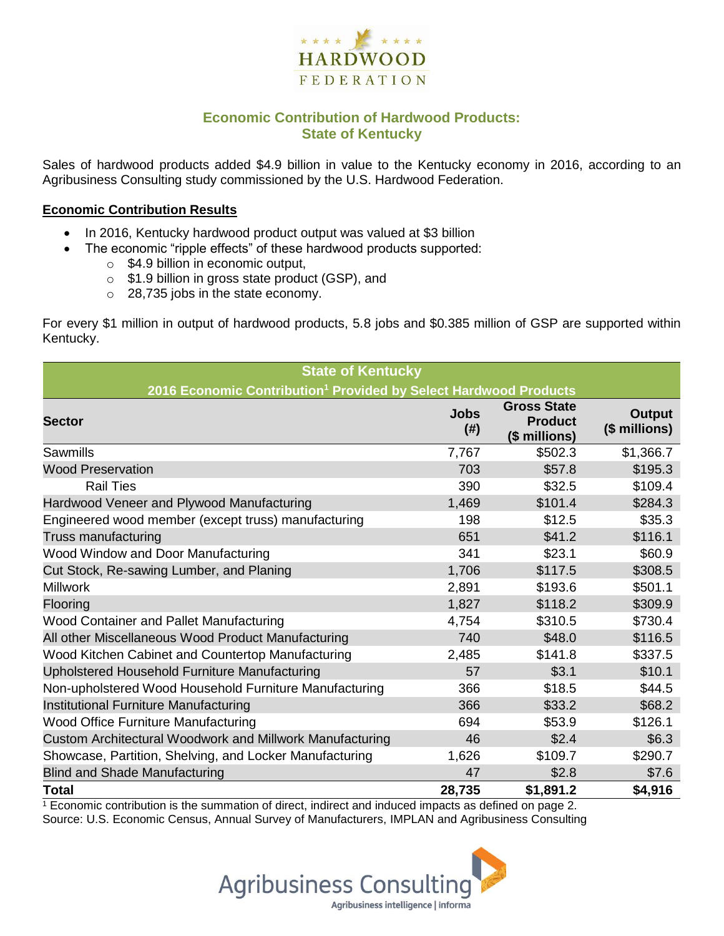

## **Economic Contribution of Hardwood Products: State of Kentucky**

Sales of hardwood products added \$4.9 billion in value to the Kentucky economy in 2016, according to an Agribusiness Consulting study commissioned by the U.S. Hardwood Federation.

#### **Economic Contribution Results**

- In 2016, Kentucky hardwood product output was valued at \$3 billion
	- The economic "ripple effects" of these hardwood products supported:
		- o \$4.9 billion in economic output,
		- o \$1.9 billion in gross state product (GSP), and
		- o 28,735 jobs in the state economy.

For every \$1 million in output of hardwood products, 5.8 jobs and \$0.385 million of GSP are supported within Kentucky.

| <b>State of Kentucky</b>                                                     |                     |                                                       |                                |  |  |  |
|------------------------------------------------------------------------------|---------------------|-------------------------------------------------------|--------------------------------|--|--|--|
| 2016 Economic Contribution <sup>1</sup> Provided by Select Hardwood Products |                     |                                                       |                                |  |  |  |
| <b>Sector</b>                                                                | <b>Jobs</b><br>(# ) | <b>Gross State</b><br><b>Product</b><br>(\$ millions) | <b>Output</b><br>(\$ millions) |  |  |  |
| Sawmills                                                                     | 7,767               | \$502.3                                               | \$1,366.7                      |  |  |  |
| <b>Wood Preservation</b>                                                     | 703                 | \$57.8                                                | \$195.3                        |  |  |  |
| <b>Rail Ties</b>                                                             | 390                 | \$32.5                                                | \$109.4                        |  |  |  |
| Hardwood Veneer and Plywood Manufacturing                                    | 1,469               | \$101.4                                               | \$284.3                        |  |  |  |
| Engineered wood member (except truss) manufacturing                          | 198                 | \$12.5                                                | \$35.3                         |  |  |  |
| Truss manufacturing                                                          | 651                 | \$41.2                                                | \$116.1                        |  |  |  |
| Wood Window and Door Manufacturing                                           | 341                 | \$23.1                                                | \$60.9                         |  |  |  |
| Cut Stock, Re-sawing Lumber, and Planing                                     | 1,706               | \$117.5                                               | \$308.5                        |  |  |  |
| <b>Millwork</b>                                                              | 2,891               | \$193.6                                               | \$501.1                        |  |  |  |
| Flooring                                                                     | 1,827               | \$118.2                                               | \$309.9                        |  |  |  |
| Wood Container and Pallet Manufacturing                                      | 4,754               | \$310.5                                               | \$730.4                        |  |  |  |
| All other Miscellaneous Wood Product Manufacturing                           | 740                 | \$48.0                                                | \$116.5                        |  |  |  |
| Wood Kitchen Cabinet and Countertop Manufacturing                            | 2,485               | \$141.8                                               | \$337.5                        |  |  |  |
| Upholstered Household Furniture Manufacturing                                | 57                  | \$3.1                                                 | \$10.1                         |  |  |  |
| Non-upholstered Wood Household Furniture Manufacturing                       | 366                 | \$18.5                                                | \$44.5                         |  |  |  |
| Institutional Furniture Manufacturing                                        | 366                 | \$33.2                                                | \$68.2                         |  |  |  |
| Wood Office Furniture Manufacturing                                          | 694                 | \$53.9                                                | \$126.1                        |  |  |  |
| Custom Architectural Woodwork and Millwork Manufacturing                     | 46                  | \$2.4                                                 | \$6.3                          |  |  |  |
| Showcase, Partition, Shelving, and Locker Manufacturing                      | 1,626               | \$109.7                                               | \$290.7                        |  |  |  |
| <b>Blind and Shade Manufacturing</b>                                         | 47                  | \$2.8                                                 | \$7.6                          |  |  |  |
| <b>Total</b>                                                                 | 28,735              | \$1,891.2                                             | \$4,916                        |  |  |  |

 $1$  Economic contribution is the summation of direct, indirect and induced impacts as defined on page 2. Source: U.S. Economic Census, Annual Survey of Manufacturers, IMPLAN and Agribusiness Consulting